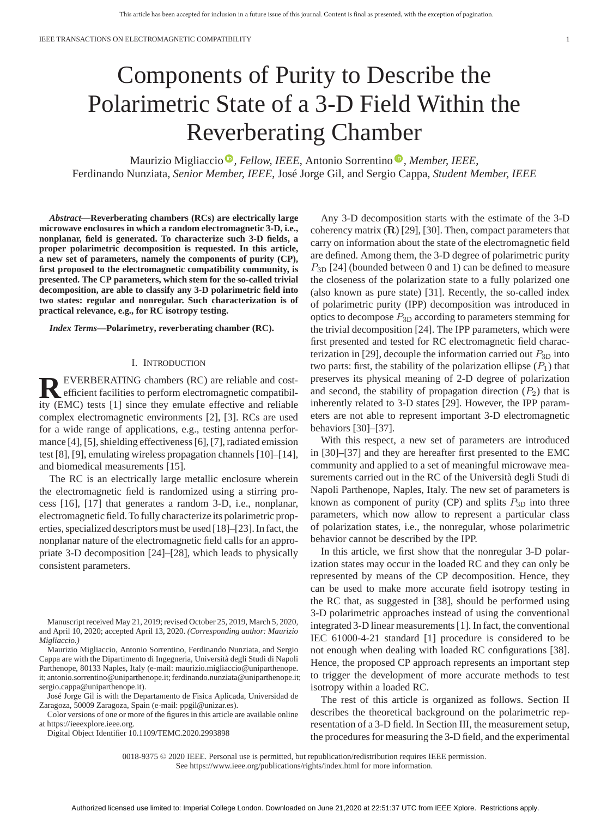# Components of Purity to Describe the Polarimetric State of a 3-D Field Within the Reverberating Chamber

Maurizio Migliaccio<sup>®</sup>[,](https://orcid.org/0000-0002-4578-6612) Fellow, IEEE, Antonio Sorrentino<sup>®</sup>, Member, IEEE, Ferdinando Nunziata*, Senior Member, IEEE*, José Jorge Gil, and Sergio Cappa*, Student Member, IEEE*

*Abstract***—Reverberating chambers (RCs) are electrically large microwave enclosures in which a random electromagnetic 3-D, i.e., nonplanar, field is generated. To characterize such 3-D fields, a proper polarimetric decomposition is requested. In this article, a new set of parameters, namely the components of purity (CP), first proposed to the electromagnetic compatibility community, is presented. The CP parameters, which stem for the so-called trivial decomposition, are able to classify any 3-D polarimetric field into two states: regular and nonregular. Such characterization is of practical relevance, e.g., for RC isotropy testing.**

*Index Terms***—Polarimetry, reverberating chamber (RC).**

## I. INTRODUCTION

**REVERBERATING chambers (RC) are reliable and cost-**<br>efficient facilities to perform electromagnetic compatibil-<br>ity (EMC) tests [1] since they emulate effective and reliable ity (EMC) tests [1] since they emulate effective and reliable complex electromagnetic environments [2], [3]. RCs are used for a wide range of applications, e.g., testing antenna performance [4], [5], shielding effectiveness [6], [7], radiated emission test [8], [9], emulating wireless propagation channels [10]–[14], and biomedical measurements [15].

The RC is an electrically large metallic enclosure wherein the electromagnetic field is randomized using a stirring process [16], [17] that generates a random 3-D, i.e., nonplanar, electromagnetic field. To fully characterize its polarimetric properties, specialized descriptors must be used [18]–[23]. In fact, the nonplanar nature of the electromagnetic field calls for an appropriate 3-D decomposition [24]–[28], which leads to physically consistent parameters.

Manuscript received May 21, 2019; revised October 25, 2019, March 5, 2020, and April 10, 2020; accepted April 13, 2020. *(Corresponding author: Maurizio Migliaccio.)*

Maurizio Migliaccio, Antonio Sorrentino, Ferdinando Nunziata, and Sergio Cappa are with the Dipartimento di Ingegneria, Università degli Studi di Napoli Parthenope, 80133 Naples, Italy (e-mail: maurizio.migliaccio@uniparthenope. [it; antonio.sorrentino@uniparthenope.it; ferdinando.nunziata@uniparthenope.it;](mailto:maurizio.migliaccio@uniparthenope.penalty -@M it) [sergio.cappa@uniparthenope.it\)](mailto:sergio.cappa@uniparthenope.it).

José Jorge Gil is with the Departamento de Fisica Aplicada, Universidad de Zaragoza, 50009 Zaragoza, Spain (e-mail: [ppgil@unizar.es\)](mailto:ppgil@unizar.es).

Color versions of one or more of the figures in this article are available online at [https://ieeexplore.ieee.org.](https://ieeexplore.ieee.org)

Digital Object Identifier 10.1109/TEMC.2020.2993898

Any 3-D decomposition starts with the estimate of the 3-D coherency matrix (**R**) [29], [30]. Then, compact parameters that carry on information about the state of the electromagnetic field are defined. Among them, the 3-D degree of polarimetric purity *P*3<sup>D</sup> [24] (bounded between 0 and 1) can be defined to measure the closeness of the polarization state to a fully polarized one (also known as pure state) [31]. Recently, the so-called index of polarimetric purity (IPP) decomposition was introduced in optics to decompose *P*3<sup>D</sup> according to parameters stemming for the trivial decomposition [24]. The IPP parameters, which were first presented and tested for RC electromagnetic field characterization in [29], decouple the information carried out  $P_{3D}$  into two parts: first, the stability of the polarization ellipse  $(P_1)$  that preserves its physical meaning of 2-D degree of polarization and second, the stability of propagation direction  $(P_2)$  that is inherently related to 3-D states [29]. However, the IPP parameters are not able to represent important 3-D electromagnetic behaviors [30]–[37].

With this respect, a new set of parameters are introduced in [30]–[37] and they are hereafter first presented to the EMC community and applied to a set of meaningful microwave measurements carried out in the RC of the Università degli Studi di Napoli Parthenope, Naples, Italy. The new set of parameters is known as component of purity (CP) and splits  $P_{3D}$  into three parameters, which now allow to represent a particular class of polarization states, i.e., the nonregular, whose polarimetric behavior cannot be described by the IPP.

In this article, we first show that the nonregular 3-D polarization states may occur in the loaded RC and they can only be represented by means of the CP decomposition. Hence, they can be used to make more accurate field isotropy testing in the RC that, as suggested in [38], should be performed using 3-D polarimetric approaches instead of using the conventional integrated 3-D linear measurements [1]. In fact, the conventional IEC 61000-4-21 standard [1] procedure is considered to be not enough when dealing with loaded RC configurations [38]. Hence, the proposed CP approach represents an important step to trigger the development of more accurate methods to test isotropy within a loaded RC.

The rest of this article is organized as follows. Section II describes the theoretical background on the polarimetric representation of a 3-D field. In Section III, the measurement setup, the procedures for measuring the 3-D field, and the experimental

0018-9375 © 2020 IEEE. Personal use is permitted, but republication/redistribution requires IEEE permission.

See https://www.ieee.org/publications/rights/index.html for more information.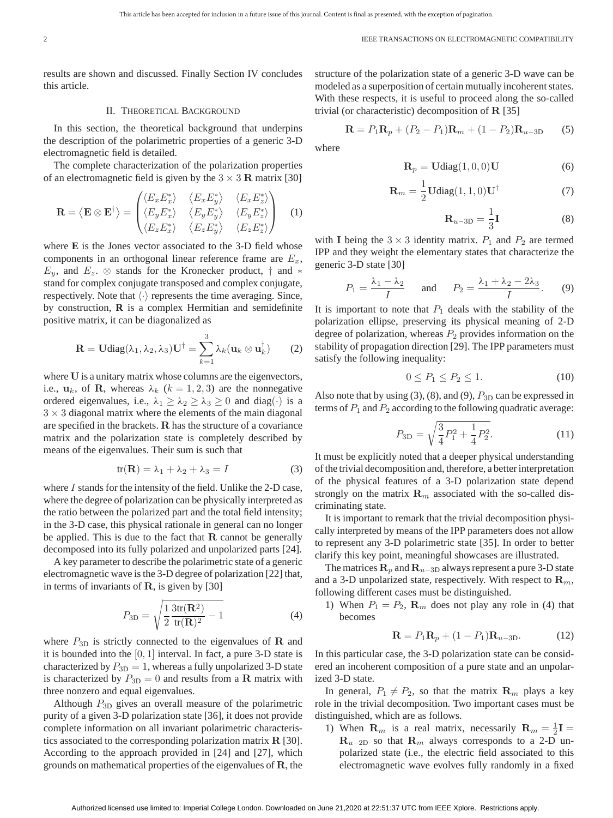results are shown and discussed. Finally Section IV concludes this article.

### II. THEORETICAL BACKGROUND

In this section, the theoretical background that underpins the description of the polarimetric properties of a generic 3-D electromagnetic field is detailed.

The complete characterization of the polarization properties of an electromagnetic field is given by the  $3 \times 3$  **R** matrix [30]

$$
\mathbf{R} = \langle \mathbf{E} \otimes \mathbf{E}^{\dagger} \rangle = \begin{pmatrix} \langle E_x E_x^* \rangle & \langle E_x E_y^* \rangle & \langle E_x E_z^* \rangle \\ \langle E_y E_x^* \rangle & \langle E_y E_y^* \rangle & \langle E_y E_z^* \rangle \\ \langle E_z E_x^* \rangle & \langle E_z E_y^* \rangle & \langle E_z E_z^* \rangle \end{pmatrix}
$$
(1)

where **E** is the Jones vector associated to the 3-D field whose components in an orthogonal linear reference frame are *Ex*,  $E_y$ , and  $E_z$ . ⊗ stands for the Kronecker product,  $\dagger$  and  $*$ stand for complex conjugate transposed and complex conjugate, respectively. Note that  $\langle \cdot \rangle$  represents the time averaging. Since, by construction, **R** is a complex Hermitian and semidefinite positive matrix, it can be diagonalized as

$$
\mathbf{R} = \mathbf{U} \text{diag}(\lambda_1, \lambda_2, \lambda_3) \mathbf{U}^{\dagger} = \sum_{k=1}^{3} \lambda_k (\mathbf{u}_k \otimes \mathbf{u}_k^{\dagger}) \qquad (2)
$$

where **U** is a unitary matrix whose columns are the eigenvectors, i.e.,  $\mathbf{u}_k$ , of **R**, whereas  $\lambda_k$  ( $k = 1, 2, 3$ ) are the nonnegative ordered eigenvalues, i.e.,  $\lambda_1 \geq \lambda_2 \geq \lambda_3 \geq 0$  and diag( $\cdot$ ) is a  $3 \times 3$  diagonal matrix where the elements of the main diagonal are specified in the brackets. **R** has the structure of a covariance matrix and the polarization state is completely described by means of the eigenvalues. Their sum is such that

$$
tr(\mathbf{R}) = \lambda_1 + \lambda_2 + \lambda_3 = I \tag{3}
$$

where *I* stands for the intensity of the field. Unlike the 2-D case, where the degree of polarization can be physically interpreted as the ratio between the polarized part and the total field intensity; in the 3-D case, this physical rationale in general can no longer be applied. This is due to the fact that **R** cannot be generally decomposed into its fully polarized and unpolarized parts [24].

A key parameter to describe the polarimetric state of a generic electromagnetic wave is the 3-D degree of polarization [22] that, in terms of invariants of **R**, is given by [30]

$$
P_{3\text{D}} = \sqrt{\frac{1}{2} \frac{3 \text{tr}(\mathbf{R}^2)}{\text{tr}(\mathbf{R})^2} - 1}
$$
(4)

where  $P_{3D}$  is strictly connected to the eigenvalues of **R** and it is bounded into the [0*,* 1] interval. In fact, a pure 3-D state is characterized by  $P_{3D} = 1$ , whereas a fully unpolarized 3-D state is characterized by  $P_{3D} = 0$  and results from a **R** matrix with three nonzero and equal eigenvalues.

Although *P*3<sup>D</sup> gives an overall measure of the polarimetric purity of a given 3-D polarization state [36], it does not provide complete information on all invariant polarimetric characteristics associated to the corresponding polarization matrix **R** [30]. According to the approach provided in [24] and [27], which grounds on mathematical properties of the eigenvalues of **R**, the structure of the polarization state of a generic 3-D wave can be modeled as a superposition of certain mutually incoherent states. With these respects, it is useful to proceed along the so-called trivial (or characteristic) decomposition of **R** [35]

$$
\mathbf{R} = P_1 \mathbf{R}_p + (P_2 - P_1) \mathbf{R}_m + (1 - P_2) \mathbf{R}_{u-3D} \tag{5}
$$

where

$$
\mathbf{R}_p = \mathbf{U}\text{diag}(1,0,0)\mathbf{U} \tag{6}
$$

$$
\mathbf{R}_m = \frac{1}{2} \mathbf{U} \text{diag}(1, 1, 0) \mathbf{U}^\dagger \tag{7}
$$

$$
\mathbf{R}_{u-3D} = \frac{1}{3}\mathbf{I} \tag{8}
$$

with **I** being the  $3 \times 3$  identity matrix.  $P_1$  and  $P_2$  are termed IPP and they weight the elementary states that characterize the generic 3-D state [30]

$$
P_1 = \frac{\lambda_1 - \lambda_2}{I} \quad \text{and} \quad P_2 = \frac{\lambda_1 + \lambda_2 - 2\lambda_3}{I}.
$$
 (9)

It is important to note that  $P_1$  deals with the stability of the polarization ellipse, preserving its physical meaning of 2-D degree of polarization, whereas  $P_2$  provides information on the stability of propagation direction [29]. The IPP parameters must satisfy the following inequality:

$$
0 \le P_1 \le P_2 \le 1. \tag{10}
$$

Also note that by using  $(3)$ ,  $(8)$ , and  $(9)$ ,  $P_{3D}$  can be expressed in terms of  $P_1$  and  $P_2$  according to the following quadratic average:

$$
P_{3D} = \sqrt{\frac{3}{4}P_1^2 + \frac{1}{4}P_2^2}.
$$
 (11)

It must be explicitly noted that a deeper physical understanding of the trivial decomposition and, therefore, a better interpretation of the physical features of a 3-D polarization state depend strongly on the matrix  $\mathbf{R}_m$  associated with the so-called discriminating state.

It is important to remark that the trivial decomposition physically interpreted by means of the IPP parameters does not allow to represent any 3-D polarimetric state [35]. In order to better clarify this key point, meaningful showcases are illustrated.

The matrices  $\mathbf{R}_p$  and  $\mathbf{R}_{u-3D}$  always represent a pure 3-D state and a 3-D unpolarized state, respectively. With respect to  $\mathbf{R}_m$ , following different cases must be distinguished.

1) When  $P_1 = P_2$ ,  $\mathbf{R}_m$  does not play any role in (4) that becomes

$$
\mathbf{R} = P_1 \mathbf{R}_p + (1 - P_1) \mathbf{R}_{u-3D}.
$$
 (12)

In this particular case, the 3-D polarization state can be considered an incoherent composition of a pure state and an unpolarized 3-D state.

In general,  $P_1 \neq P_2$ , so that the matrix  $\mathbf{R}_m$  plays a key role in the trivial decomposition. Two important cases must be distinguished, which are as follows.

1) When  $\mathbf{R}_m$  is a real matrix, necessarily  $\mathbf{R}_m = \frac{1}{2}\mathbf{I} =$  $\mathbf{R}_{u-2D}$  so that  $\mathbf{R}_m$  always corresponds to a 2-D unpolarized state (i.e., the electric field associated to this electromagnetic wave evolves fully randomly in a fixed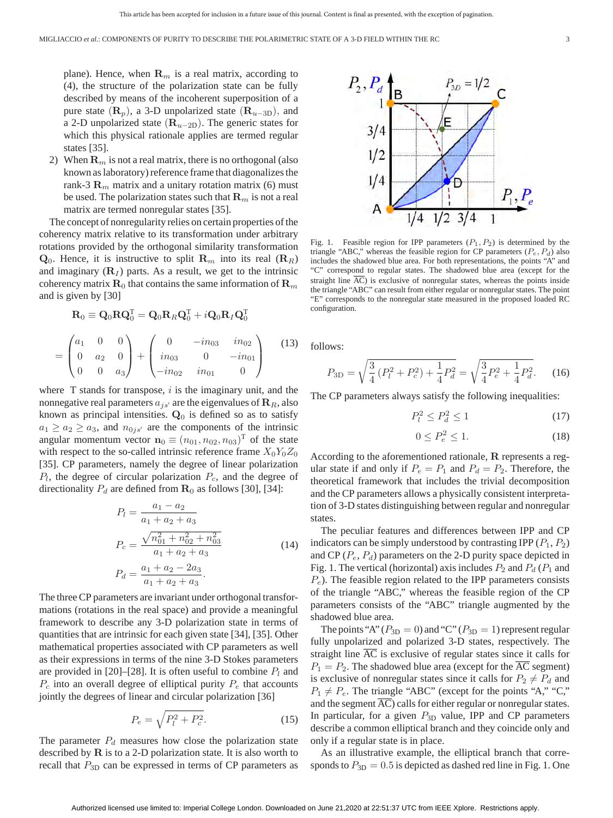plane). Hence, when  $\mathbf{R}_m$  is a real matrix, according to (4), the structure of the polarization state can be fully described by means of the incoherent superposition of a pure state  $(\mathbf{R}_p)$ , a 3-D unpolarized state  $(\mathbf{R}_{u-3D})$ , and a 2-D unpolarized state (**R***u*−2D). The generic states for which this physical rationale applies are termed regular states [35].

2) When  $\mathbf{R}_m$  is not a real matrix, there is no orthogonal (also known as laboratory) reference frame that diagonalizes the rank-3  $\mathbf{R}_m$  matrix and a unitary rotation matrix (6) must be used. The polarization states such that **R***<sup>m</sup>* is not a real matrix are termed nonregular states [35].

The concept of nonregularity relies on certain properties of the coherency matrix relative to its transformation under arbitrary rotations provided by the orthogonal similarity transformation  $\mathbf{Q}_0$ . Hence, it is instructive to split  $\mathbf{R}_m$  into its real  $(\mathbf{R}_R)$ and imaginary  $(\mathbf{R}_I)$  parts. As a result, we get to the intrinsic coherency matrix  $\mathbf{R}_0$  that contains the same information of  $\mathbf{R}_m$ and is given by [30]

$$
\mathbf{R}_0 \equiv \mathbf{Q}_0 \mathbf{R} \mathbf{Q}_0^{\mathrm{T}} = \mathbf{Q}_0 \mathbf{R}_R \mathbf{Q}_0^{\mathrm{T}} + i \mathbf{Q}_0 \mathbf{R}_I \mathbf{Q}_0^{\mathrm{T}}
$$

$$
= \begin{pmatrix} a_1 & 0 & 0 \\ 0 & a_2 & 0 \\ 0 & 0 & a_3 \end{pmatrix} + \begin{pmatrix} 0 & -in_{03} & in_{02} \\ in_{03} & 0 & -in_{01} \\ -in_{02} & in_{01} & 0 \end{pmatrix} \tag{13}
$$

where T stands for transpose, *i* is the imaginary unit, and the nonnegative real parameters  $a_{js'}$  are the eigenvalues of  $\mathbf{R}_R$ , also known as principal intensities. **Q**<sup>0</sup> is defined so as to satisfy  $a_1 \ge a_2 \ge a_3$ , and  $n_{0j s'}$  are the components of the intrinsic angular momentum vector  $\mathbf{n}_0 \equiv (n_{01}, n_{02}, n_{03})^T$  of the state with respect to the so-called intrinsic reference frame  $X_0Y_0Z_0$ [35]. CP parameters, namely the degree of linear polarization *Pl*, the degree of circular polarization *Pc*, and the degree of directionality  $P_d$  are defined from  $\mathbf{R}_0$  as follows [30], [34]:

$$
P_l = \frac{a_1 - a_2}{a_1 + a_2 + a_3}
$$
  
\n
$$
P_c = \frac{\sqrt{n_{01}^2 + n_{02}^2 + n_{03}^2}}{a_1 + a_2 + a_3}
$$
  
\n
$$
P_d = \frac{a_1 + a_2 - 2a_3}{a_1 + a_2 + a_3}.
$$
\n(14)

The three CP parameters are invariant under orthogonal transformations (rotations in the real space) and provide a meaningful framework to describe any 3-D polarization state in terms of quantities that are intrinsic for each given state [34], [35]. Other mathematical properties associated with CP parameters as well as their expressions in terms of the nine 3-D Stokes parameters are provided in [20]–[28]. It is often useful to combine  $P_l$  and  $P_c$  into an overall degree of elliptical purity  $P_e$  that accounts jointly the degrees of linear and circular polarization [36]

$$
P_e = \sqrt{P_l^2 + P_c^2}.
$$
 (15)

The parameter  $P_d$  measures how close the polarization state described by **R** is to a 2-D polarization state. It is also worth to recall that  $P_{3D}$  can be expressed in terms of CP parameters as



Fig. 1. Feasible region for IPP parameters  $(P_1, P_2)$  is determined by the triangle "ABC," whereas the feasible region for CP parameters  $(P_e, P_d)$  also includes the shadowed blue area. For both representations, the points "A" and "C" correspond to regular states. The shadowed blue area (except for the straight line AC) is exclusive of nonregular states, whereas the points inside the triangle "ABC" can result from either regular or nonregular states. The point "E" corresponds to the nonregular state measured in the proposed loaded RC configuration.

follows:

$$
P_{3D} = \sqrt{\frac{3}{4} \left( P_l^2 + P_c^2 \right) + \frac{1}{4} P_d^2} = \sqrt{\frac{3}{4} P_e^2 + \frac{1}{4} P_d^2}.
$$
 (16)

The CP parameters always satisfy the following inequalities:

$$
P_l^2 \le P_d^2 \le 1\tag{17}
$$

$$
0 \le P_e^2 \le 1. \tag{18}
$$

According to the aforementioned rationale, **R** represents a regular state if and only if  $P_e = P_1$  and  $P_d = P_2$ . Therefore, the theoretical framework that includes the trivial decomposition and the CP parameters allows a physically consistent interpretation of 3-D states distinguishing between regular and nonregular states.

The peculiar features and differences between IPP and CP indicators can be simply understood by contrasting IPP  $(P_1, P_2)$ and CP  $(P_e, P_d)$  parameters on the 2-D purity space depicted in Fig. 1. The vertical (horizontal) axis includes  $P_2$  and  $P_d$  ( $P_1$  and *Pe*). The feasible region related to the IPP parameters consists of the triangle "ABC," whereas the feasible region of the CP parameters consists of the "ABC" triangle augmented by the shadowed blue area.

The points "A" ( $P_{3D} = 0$ ) and "C" ( $P_{3D} = 1$ ) represent regular fully unpolarized and polarized 3-D states, respectively. The straight line  $\overline{AC}$  is exclusive of regular states since it calls for  $P_1 = P_2$ . The shadowed blue area (except for the AC segment) is exclusive of nonregular states since it calls for  $P_2 \neq P_d$  and  $P_1 \neq P_e$ . The triangle "ABC" (except for the points "A," "C," and the segment  $\overline{AC}$ ) calls for either regular or nonregular states. In particular, for a given  $P_{3D}$  value, IPP and CP parameters describe a common elliptical branch and they coincide only and only if a regular state is in place.

As an illustrative example, the elliptical branch that corresponds to  $P_{3D} = 0.5$  is depicted as dashed red line in Fig. 1. One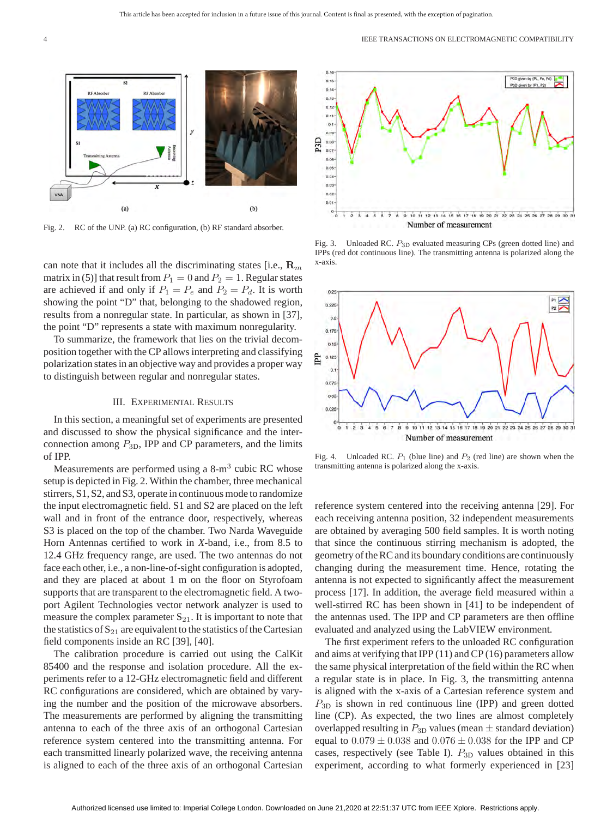

Fig. 2. RC of the UNP. (a) RC configuration, (b) RF standard absorber.

can note that it includes all the discriminating states [i.e., **R***<sup>m</sup>* matrix in (5)] that result from  $P_1 = 0$  and  $P_2 = 1$ . Regular states are achieved if and only if  $P_1 = P_e$  and  $P_2 = P_d$ . It is worth showing the point "D" that, belonging to the shadowed region, results from a nonregular state. In particular, as shown in [37], the point "D" represents a state with maximum nonregularity.

To summarize, the framework that lies on the trivial decomposition together with the CP allows interpreting and classifying polarization states in an objective way and provides a proper way to distinguish between regular and nonregular states.

### III. EXPERIMENTAL RESULTS

In this section, a meaningful set of experiments are presented and discussed to show the physical significance and the interconnection among *P*3D, IPP and CP parameters, and the limits of IPP.

Measurements are performed using a  $8\text{-m}^3$  cubic RC whose setup is depicted in Fig. 2. Within the chamber, three mechanical stirrers, S1, S2, and S3, operate in continuous mode to randomize the input electromagnetic field. S1 and S2 are placed on the left wall and in front of the entrance door, respectively, whereas S3 is placed on the top of the chamber. Two Narda Waveguide Horn Antennas certified to work in *X*-band, i.e., from 8.5 to 12.4 GHz frequency range, are used. The two antennas do not face each other, i.e., a non-line-of-sight configuration is adopted, and they are placed at about 1 m on the floor on Styrofoam supports that are transparent to the electromagnetic field. A twoport Agilent Technologies vector network analyzer is used to measure the complex parameter  $S_{21}$ . It is important to note that the statistics of  $S_{21}$  are equivalent to the statistics of the Cartesian field components inside an RC [39], [40].

The calibration procedure is carried out using the CalKit 85400 and the response and isolation procedure. All the experiments refer to a 12-GHz electromagnetic field and different RC configurations are considered, which are obtained by varying the number and the position of the microwave absorbers. The measurements are performed by aligning the transmitting antenna to each of the three axis of an orthogonal Cartesian reference system centered into the transmitting antenna. For each transmitted linearly polarized wave, the receiving antenna is aligned to each of the three axis of an orthogonal Cartesian



Fig. 3. Unloaded RC. *P*3<sup>D</sup> evaluated measuring CPs (green dotted line) and IPPs (red dot continuous line). The transmitting antenna is polarized along the x-axis.



Fig. 4. Unloaded RC. *P*<sup>1</sup> (blue line) and *P*<sup>2</sup> (red line) are shown when the transmitting antenna is polarized along the x-axis.

reference system centered into the receiving antenna [29]. For each receiving antenna position, 32 independent measurements are obtained by averaging 500 field samples. It is worth noting that since the continuous stirring mechanism is adopted, the geometry of the RC and its boundary conditions are continuously changing during the measurement time. Hence, rotating the antenna is not expected to significantly affect the measurement process [17]. In addition, the average field measured within a well-stirred RC has been shown in [41] to be independent of the antennas used. The IPP and CP parameters are then offline evaluated and analyzed using the LabVIEW environment.

The first experiment refers to the unloaded RC configuration and aims at verifying that IPP (11) and CP (16) parameters allow the same physical interpretation of the field within the RC when a regular state is in place. In Fig. 3, the transmitting antenna is aligned with the x-axis of a Cartesian reference system and *P*3<sup>D</sup> is shown in red continuous line (IPP) and green dotted line (CP). As expected, the two lines are almost completely overlapped resulting in  $P_{3D}$  values (mean  $\pm$  standard deviation) equal to 0*.*079 ± 0*.*038 and 0*.*076 ± 0*.*038 for the IPP and CP cases, respectively (see Table I). *P*3<sup>D</sup> values obtained in this experiment, according to what formerly experienced in [23]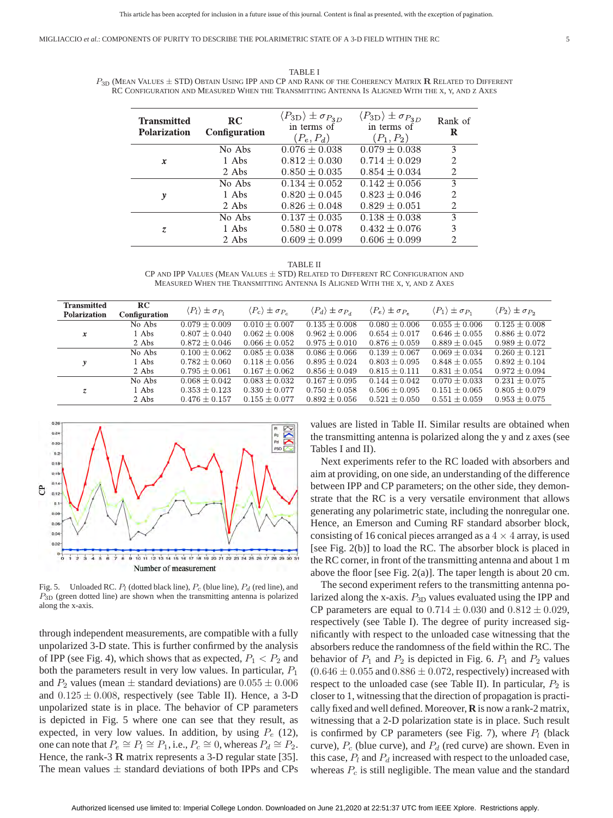MIGLIACCIO *et al.*: COMPONENTS OF PURITY TO DESCRIBE THE POLARIMETRIC STATE OF A 3-D FIELD WITHIN THE RC 5

TABLE I *P*3<sup>D</sup> (MEAN VALUES ± STD) OBTAIN USING IPP AND CP AND RANK OF THE COHERENCY MATRIX **R** RELATED TO DIFFERENT RC CONFIGURATION AND MEASURED WHEN THE TRANSMITTING ANTENNA IS ALIGNED WITH THE X, Y, AND Z AXES

| <b>Transmitted</b><br><b>Polarization</b> | <b>RC</b><br><b>Configuration</b> | $\langle P_{3D} \rangle \pm \sigma_{P_{3D}}$<br>in terms of<br>$(P_e, P_d)$ | $\langle P_{3D} \rangle \pm \sigma_{P_{3D}}$<br>in terms of<br>$(P_1, P_2)$ | Rank of<br>R                |
|-------------------------------------------|-----------------------------------|-----------------------------------------------------------------------------|-----------------------------------------------------------------------------|-----------------------------|
| x                                         | No Abs                            | $0.076 \pm 0.038$                                                           | $0.079 \pm 0.038$                                                           | 3                           |
|                                           | 1 Abs                             | $0.812 + 0.030$                                                             | $0.714 \pm 0.029$                                                           | $\mathcal{P}$               |
|                                           | 2 Abs                             | $0.850 \pm 0.035$                                                           | $0.854 \pm 0.034$                                                           | $\mathcal{D}_{\mathcal{L}}$ |
| y                                         | No Abs                            | $0.134 + 0.052$                                                             | $0.142 + 0.056$                                                             | 3                           |
|                                           | 1 Abs                             | $0.820 + 0.045$                                                             | $0.823 + 0.046$                                                             | $\mathfrak{D}$              |
|                                           | 2 Abs                             | $0.826 \pm 0.048$                                                           | $0.829 \pm 0.051$                                                           | 2                           |
| Z.                                        | No Abs                            | $0.137 \pm 0.035$                                                           | $0.138 \pm 0.038$                                                           | 3                           |
|                                           | 1 Abs                             | $0.580 \pm 0.078$                                                           | $0.432 \pm 0.076$                                                           | 3                           |
|                                           | 2 Abs                             | $0.609 \pm 0.099$                                                           | $0.606 \pm 0.099$                                                           | $\mathfrak{D}$              |

TABLE II CP AND IPP VALUES (MEAN VALUES  $\pm$  STD) RELATED TO DIFFERENT RC CONFIGURATION AND MEASURED WHEN THE TRANSMITTING ANTENNA IS ALIGNED WITH THE X, Y, AND Z AXES

| <b>Transmitted</b><br>Polarization | RC<br>Configuration | $\langle P_l \rangle \pm \sigma_{P_l}$ | $\langle P_c \rangle \pm \sigma_{P_c}$ | $\langle P_d \rangle \pm \sigma_{P_d}$ | $\langle P_e \rangle \pm \sigma_{P_e}$ | $\langle P_1 \rangle \pm \sigma_{P_1}$ | $\langle P_2 \rangle \pm \sigma_{P_2}$ |
|------------------------------------|---------------------|----------------------------------------|----------------------------------------|----------------------------------------|----------------------------------------|----------------------------------------|----------------------------------------|
| $\boldsymbol{x}$                   | No Abs              | $0.079 \pm 0.009$                      | $0.010 + 0.007$                        | $0.135 + 0.008$                        | $0.080 \pm 0.006$                      | $0.055 + 0.006$                        | $0.125 \pm 0.008$                      |
|                                    | 1 Abs               | $0.807 + 0.040$                        | $0.062 + 0.008$                        | $0.962 + 0.006$                        | $0.654 + 0.017$                        | $0.646 \pm 0.055$                      | $0.886 \pm 0.072$                      |
|                                    | 2 Abs               | $0.872 + 0.046$                        | $0.066 + 0.052$                        | $0.975 + 0.010$                        | $0.876 + 0.059$                        | $0.889 \pm 0.045$                      | $0.989 \pm 0.072$                      |
| y                                  | No Abs              | $0.100 + 0.062$                        | $0.085 + 0.038$                        | $0.086 + 0.066$                        | $0.139 + 0.067$                        | $0.069 + 0.034$                        | $0.260 + 0.121$                        |
|                                    | 1 Abs               | $0.782 + 0.060$                        | $0.118 + 0.056$                        | $0.895 + 0.024$                        | $0.803 + 0.095$                        | $0.848 + 0.055$                        | $0.892 + 0.104$                        |
|                                    | 2 Abs               | $0.795 + 0.061$                        | $0.167 + 0.062$                        | $0.856 + 0.049$                        | $0.815 + 0.111$                        | $0.831 + 0.054$                        | $0.972 + 0.094$                        |
| Z.                                 | No Abs              | $0.068 + 0.042$                        | $0.083 + 0.032$                        | $0.167 + 0.095$                        | $0.144 \pm 0.042$                      | $0.070 + 0.033$                        | $0.231 + 0.075$                        |
|                                    | 1 Abs               | $0.353 \pm 0.123$                      | $0.330 \pm 0.077$                      | $0.750 \pm 0.058$                      | $0.506 \pm 0.095$                      | $0.151 \pm 0.065$                      | $0.805 \pm 0.079$                      |
|                                    | 2 Abs               | $0.476 \pm 0.157$                      | $0.155 \pm 0.077$                      | $0.892 \pm 0.056$                      | $0.521 \pm 0.050$                      | $0.551 \pm 0.059$                      | $0.953 \pm 0.075$                      |



Fig. 5. Unloaded RC. *Pl* (dotted black line), *Pc* (blue line), *Pd* (red line), and *P*3<sup>D</sup> (green dotted line) are shown when the transmitting antenna is polarized along the x-axis.

through independent measurements, are compatible with a fully unpolarized 3-D state. This is further confirmed by the analysis of IPP (see Fig. 4), which shows that as expected,  $P_1 < P_2$  and both the parameters result in very low values. In particular, *P*<sup>1</sup> and  $P_2$  values (mean  $\pm$  standard deviations) are  $0.055 \pm 0.006$ and  $0.125 \pm 0.008$ , respectively (see Table II). Hence, a 3-D unpolarized state is in place. The behavior of CP parameters is depicted in Fig. 5 where one can see that they result, as expected, in very low values. In addition, by using *P<sup>e</sup>* (12), one can note that  $P_e \cong P_l \cong P_1$ , i.e.,  $P_c \cong 0$ , whereas  $P_d \cong P_2$ . Hence, the rank-3 **R** matrix represents a 3-D regular state [35]. The mean values  $\pm$  standard deviations of both IPPs and CPs values are listed in Table II. Similar results are obtained when the transmitting antenna is polarized along the y and z axes (see Tables I and II).

Next experiments refer to the RC loaded with absorbers and aim at providing, on one side, an understanding of the difference between IPP and CP parameters; on the other side, they demonstrate that the RC is a very versatile environment that allows generating any polarimetric state, including the nonregular one. Hence, an Emerson and Cuming RF standard absorber block, consisting of 16 conical pieces arranged as a  $4 \times 4$  array, is used [see Fig. 2(b)] to load the RC. The absorber block is placed in the RC corner, in front of the transmitting antenna and about 1 m above the floor [see Fig. 2(a)]. The taper length is about 20 cm.

The second experiment refers to the transmitting antenna polarized along the x-axis.  $P_{3D}$  values evaluated using the IPP and CP parameters are equal to  $0.714 \pm 0.030$  and  $0.812 \pm 0.029$ , respectively (see Table I). The degree of purity increased significantly with respect to the unloaded case witnessing that the absorbers reduce the randomness of the field within the RC. The behavior of  $P_1$  and  $P_2$  is depicted in Fig. 6.  $P_1$  and  $P_2$  values  $(0.646 \pm 0.055$  and  $0.886 \pm 0.072$ , respectively) increased with respect to the unloaded case (see Table II). In particular,  $P_2$  is closer to 1, witnessing that the direction of propagation is practically fixed and well defined. Moreover, **R** is now a rank-2 matrix, witnessing that a 2-D polarization state is in place. Such result is confirmed by CP parameters (see Fig. 7), where  $P_l$  (black curve),  $P_c$  (blue curve), and  $P_d$  (red curve) are shown. Even in this case,  $P_l$  and  $P_d$  increased with respect to the unloaded case, whereas *P<sup>c</sup>* is still negligible. The mean value and the standard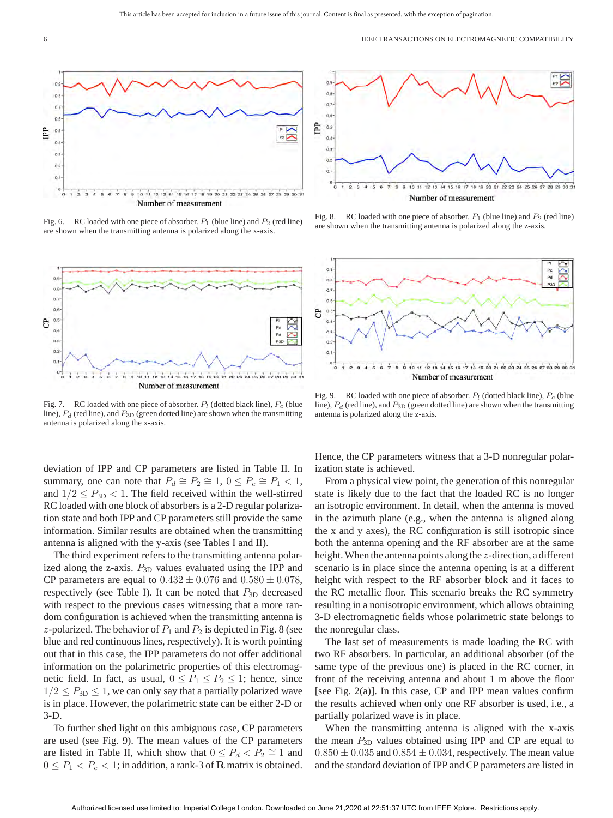

Fig. 6. RC loaded with one piece of absorber. *P*<sup>1</sup> (blue line) and *P*<sup>2</sup> (red line) are shown when the transmitting antenna is polarized along the x-axis.



Fig. 7. RC loaded with one piece of absorber. *Pl* (dotted black line), *Pc* (blue line), *P<sup>d</sup>* (red line), and *P*3<sup>D</sup> (green dotted line) are shown when the transmitting antenna is polarized along the x-axis.

deviation of IPP and CP parameters are listed in Table II. In summary, one can note that  $P_d \cong P_2 \cong 1$ ,  $0 \le P_e \cong P_1 < 1$ , and  $1/2 \leq P_{3D} < 1$ . The field received within the well-stirred RC loaded with one block of absorbers is a 2-D regular polarization state and both IPP and CP parameters still provide the same information. Similar results are obtained when the transmitting antenna is aligned with the y-axis (see Tables I and II).

The third experiment refers to the transmitting antenna polarized along the z-axis.  $P_{3D}$  values evaluated using the IPP and CP parameters are equal to  $0.432 \pm 0.076$  and  $0.580 \pm 0.078$ , respectively (see Table I). It can be noted that  $P_{3D}$  decreased with respect to the previous cases witnessing that a more random configuration is achieved when the transmitting antenna is *z*-polarized. The behavior of  $P_1$  and  $P_2$  is depicted in Fig. 8 (see blue and red continuous lines, respectively). It is worth pointing out that in this case, the IPP parameters do not offer additional information on the polarimetric properties of this electromagnetic field. In fact, as usual,  $0 \le P_1 \le P_2 \le 1$ ; hence, since  $1/2 \leq P_{3D} \leq 1$ , we can only say that a partially polarized wave is in place. However, the polarimetric state can be either 2-D or 3-D.

To further shed light on this ambiguous case, CP parameters are used (see Fig. 9). The mean values of the CP parameters are listed in Table II, which show that  $0 \leq P_d < P_2 \cong 1$  and  $0 \leq P_1 < P_e < 1$ ; in addition, a rank-3 of **R** matrix is obtained.



Fig. 8. RC loaded with one piece of absorber. *P*<sup>1</sup> (blue line) and *P*<sup>2</sup> (red line) are shown when the transmitting antenna is polarized along the z-axis.



Fig. 9. RC loaded with one piece of absorber. *Pl* (dotted black line), *Pc* (blue line),  $P_d$  (red line), and  $P_{3D}$  (green dotted line) are shown when the transmitting antenna is polarized along the z-axis.

Hence, the CP parameters witness that a 3-D nonregular polarization state is achieved.

From a physical view point, the generation of this nonregular state is likely due to the fact that the loaded RC is no longer an isotropic environment. In detail, when the antenna is moved in the azimuth plane (e.g., when the antenna is aligned along the x and y axes), the RC configuration is still isotropic since both the antenna opening and the RF absorber are at the same height.When the antenna points along the *z*-direction, a different scenario is in place since the antenna opening is at a different height with respect to the RF absorber block and it faces to the RC metallic floor. This scenario breaks the RC symmetry resulting in a nonisotropic environment, which allows obtaining 3-D electromagnetic fields whose polarimetric state belongs to the nonregular class.

The last set of measurements is made loading the RC with two RF absorbers. In particular, an additional absorber (of the same type of the previous one) is placed in the RC corner, in front of the receiving antenna and about 1 m above the floor [see Fig. 2(a)]. In this case, CP and IPP mean values confirm the results achieved when only one RF absorber is used, i.e., a partially polarized wave is in place.

When the transmitting antenna is aligned with the x-axis the mean  $P_{3D}$  values obtained using IPP and CP are equal to  $0.850 \pm 0.035$  and  $0.854 \pm 0.034$ , respectively. The mean value and the standard deviation of IPP and CP parameters are listed in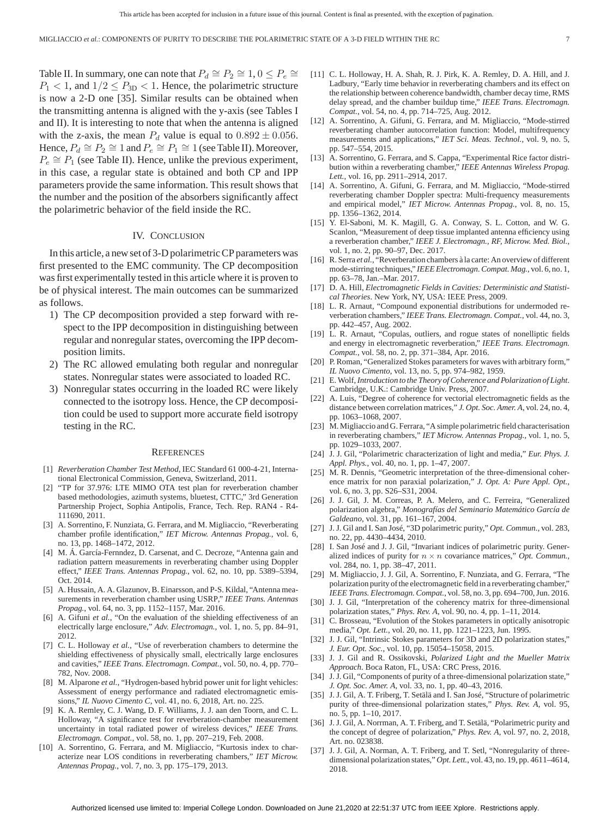Table II. In summary, one can note that  $P_d \cong P_2 \cong 1, 0 \leq P_e \cong$  $P_1$  < 1, and  $1/2 \leq P_{3D}$  < 1. Hence, the polarimetric structure is now a 2-D one [35]. Similar results can be obtained when the transmitting antenna is aligned with the y-axis (see Tables I and II). It is interesting to note that when the antenna is aligned with the z-axis, the mean  $P_d$  value is equal to  $0.892 \pm 0.056$ . Hence,  $P_d \cong P_2 \cong 1$  and  $P_e \cong P_1 \cong 1$  (see Table II). Moreover,  $P_e \cong P_1$  (see Table II). Hence, unlike the previous experiment, in this case, a regular state is obtained and both CP and IPP parameters provide the same information. This result shows that the number and the position of the absorbers significantly affect the polarimetric behavior of the field inside the RC.

### IV. CONCLUSION

In this article, a new set of 3-D polarimetric CP parameters was first presented to the EMC community. The CP decomposition was first experimentally tested in this article where it is proven to be of physical interest. The main outcomes can be summarized as follows.

- 1) The CP decomposition provided a step forward with respect to the IPP decomposition in distinguishing between regular and nonregular states, overcoming the IPP decomposition limits.
- 2) The RC allowed emulating both regular and nonregular states. Nonregular states were associated to loaded RC.
- 3) Nonregular states occurring in the loaded RC were likely connected to the isotropy loss. Hence, the CP decomposition could be used to support more accurate field isotropy testing in the RC.

#### **REFERENCES**

- [1] *Reverberation Chamber Test Method*, IEC Standard 61 000-4-21, International Electronical Commission, Geneva, Switzerland, 2011.
- "TP for 37.976: LTE MIMO OTA test plan for reverberation chamber based methodologies, azimuth systems, bluetest, CTTC," 3rd Generation Partnership Project, Sophia Antipolis, France, Tech. Rep. RAN4 - R4- 111690, 2011.
- [3] A. Sorrentino, F. Nunziata, G. Ferrara, and M. Migliaccio, "Reverberating chamber profile identification," *IET Microw. Antennas Propag.*, vol. 6, no. 13, pp. 1468–1472, 2012.
- [4] M. Á. García-Fernndez, D. Carsenat, and C. Decroze, "Antenna gain and radiation pattern measurements in reverberating chamber using Doppler effect," *IEEE Trans. Antennas Propag.*, vol. 62, no. 10, pp. 5389–5394, Oct. 2014.
- [5] A. Hussain, A. A. Glazunov, B. Einarsson, and P-S. Kildal, "Antenna measurements in reverberation chamber using USRP," *IEEE Trans. Antennas Propag.*, vol. 64, no. 3, pp. 1152–1157, Mar. 2016.
- [6] A. Gifuni *et al.*, "On the evaluation of the shielding effectiveness of an electrically large enclosure," *Adv. Electromagn.*, vol. 1, no. 5, pp. 84–91, 2012.
- [7] C. L. Holloway *et al.*, "Use of reverberation chambers to determine the shielding effectiveness of physically small, electrically large enclosures and cavities," *IEEE Trans. Electromagn. Compat.*, vol. 50, no. 4, pp. 770– 782, Nov. 2008.
- [8] M. Alparone *et al.*, "Hydrogen-based hybrid power unit for light vehicles: Assessment of energy performance and radiated electromagnetic emissions," *IL Nuovo Cimento C*, vol. 41, no. 6, 2018, Art. no. 225.
- [9] K. A. Remley, C. J. Wang, D. F. Williams, J. J. aan den Toorn, and C. L. Holloway, "A significance test for reverberation-chamber measurement uncertainty in total radiated power of wireless devices," *IEEE Trans. Electromagn. Compat.*, vol. 58, no. 1, pp. 207–219, Feb. 2008.
- [10] A. Sorrentino, G. Ferrara, and M. Migliaccio, "Kurtosis index to characterize near LOS conditions in reverberating chambers," *IET Microw. Antennas Propag.*, vol. 7, no. 3, pp. 175–179, 2013.
- [11] C. L. Holloway, H. A. Shah, R. J. Pirk, K. A. Remley, D. A. Hill, and J. Ladbury, "Early time behavior in reverberating chambers and its effect on the relationship between coherence bandwidth, chamber decay time, RMS delay spread, and the chamber buildup time," *IEEE Trans. Electromagn. Compat.*, vol. 54, no. 4, pp. 714–725, Aug. 2012.
- [12] A. Sorrentino, A. Gifuni, G. Ferrara, and M. Migliaccio, "Mode-stirred reverberating chamber autocorrelation function: Model, multifrequency measurements and applications," *IET Sci. Meas. Technol.*, vol. 9, no. 5, pp. 547–554, 2015.
- [13] A. Sorrentino, G. Ferrara, and S. Cappa, "Experimental Rice factor distribution within a reverberating chamber," *IEEE Antennas Wireless Propag. Lett.*, vol. 16, pp. 2911–2914, 2017.
- [14] A. Sorrentino, A. Gifuni, G. Ferrara, and M. Migliaccio, "Mode-stirred reverberating chamber Doppler spectra: Multi-frequency measurements and empirical model," *IET Microw. Antennas Propag.*, vol. 8, no. 15, pp. 1356–1362, 2014.
- [15] Y. El-Saboni, M. K. Magill, G. A. Conway, S. L. Cotton, and W. G. Scanlon, "Measurement of deep tissue implanted antenna efficiency using a reverberation chamber," *IEEE J. Electromagn., RF, Microw. Med. Biol.*, vol. 1, no. 2, pp. 90–97, Dec. 2017.
- [16] R. Serra *et al.*, "Reverberation chambers à la carte: An overview of different mode-stirring techniques," *IEEE Electromagn. Compat. Mag.*, vol. 6, no. 1, pp. 63–78, Jan.–Mar. 2017.
- [17] D. A. Hill, *Electromagnetic Fields in Cavities: Deterministic and Statistical Theories*. New York, NY, USA: IEEE Press, 2009.
- [18] L. R. Arnaut, "Compound exponential distributions for undermoded reverberation chambers," *IEEE Trans. Electromagn. Compat.*, vol. 44, no. 3, pp. 442–457, Aug. 2002.
- [19] L. R. Arnaut, "Copulas, outliers, and rogue states of nonelliptic fields and energy in electromagnetic reverberation," *IEEE Trans. Electromagn. Compat.*, vol. 58, no. 2, pp. 371–384, Apr. 2016.
- [20] P. Roman, "Generalized Stokes parameters for waves with arbitrary form," *IL Nuovo Cimento*, vol. 13, no. 5, pp. 974–982, 1959.
- [21] E.Wolf,*Introduction to the Theory of Coherence and Polarization of Light*. Cambridge, U.K.: Cambridge Univ. Press, 2007.
- [22] A. Luis, "Degree of coherence for vectorial electromagnetic fields as the distance between correlation matrices," *J. Opt. Soc. Amer. A*, vol. 24, no. 4, pp. 1063–1068, 2007.
- [23] M. Migliaccio and G. Ferrara, "A simple polarimetric field characterisation in reverberating chambers," *IET Microw. Antennas Propag.*, vol. 1, no. 5, pp. 1029–1033, 2007.
- [24] J. J. Gil, "Polarimetric characterization of light and media," *Eur. Phys. J. Appl. Phys.*, vol. 40, no. 1, pp. 1–47, 2007.
- [25] M. R. Dennis, "Geometric interpretation of the three-dimensional coherence matrix for non paraxial polarization," *J. Opt. A: Pure Appl. Opt.*, vol. 6, no. 3, pp. S26–S31, 2004.
- [26] J. J. Gil, J. M. Correas, P. A. Melero, and C. Ferreira, "Generalized polarization algebra," *Monografías del Seminario Matemático García de Galdeano*, vol. 31, pp. 161–167, 2004.
- [27] J. J. Gil and I. San José, "3D polarimetric purity," *Opt. Commun.*, vol. 283, no. 22, pp. 4430–4434, 2010.
- [28] I. San José and J. J. Gil, "Invariant indices of polarimetric purity. Generalized indices of purity for  $n \times n$  covariance matrices," *Opt. Commun.*, vol. 284, no. 1, pp. 38–47, 2011.
- [29] M. Migliaccio, J. J. Gil, A. Sorrentino, F. Nunziata, and G. Ferrara, "The polarization purity of the electromagnetic field in a reverberating chamber," *IEEE Trans. Electromagn. Compat.*, vol. 58, no. 3, pp. 694–700, Jun. 2016.
- [30] J. J. Gil, "Interpretation of the coherency matrix for three-dimensional polarization states," *Phys. Rev. A*, vol. 90, no. 4, pp. 1–11, 2014.
- [31] C. Brosseau, "Evolution of the Stokes parameters in optically anisotropic media," *Opt. Lett.*, vol. 20, no. 11, pp. 1221–1223, Jun. 1995.
- [32] J. J. Gil, "Intrinsic Stokes parameters for 3D and 2D polarization states," *J. Eur. Opt. Soc.*, vol. 10, pp. 15054–15058, 2015.
- [33] J. J. Gil and R. Ossikovski, *Polarized Light and the Mueller Matrix Approach*. Boca Raton, FL, USA: CRC Press, 2016.
- [34] J.J. Gil, "Components of purity of a three-dimensional polarization state," *J. Opt. Soc. Amer. A*, vol. 33, no. 1, pp. 40–43, 2016.
- [35] J. J. Gil, A. T. Friberg, T. Setälä and I. San José, "Structure of polarimetric purity of three-dimensional polarization states," *Phys. Rev. A*, vol. 95, no. 5, pp. 1–10, 2017.
- [36] J. J. Gil, A. Norrman, A. T. Friberg, and T. Setälä, "Polarimetric purity and the concept of degree of polarization," *Phys. Rev. A*, vol. 97, no. 2, 2018, Art. no. 023838.
- [37] J. J. Gil, A. Norman, A. T. Friberg, and T. Setl, "Nonregularity of threedimensional polarization states," *Opt. Lett.*, vol. 43, no. 19, pp. 4611–4614, 2018.